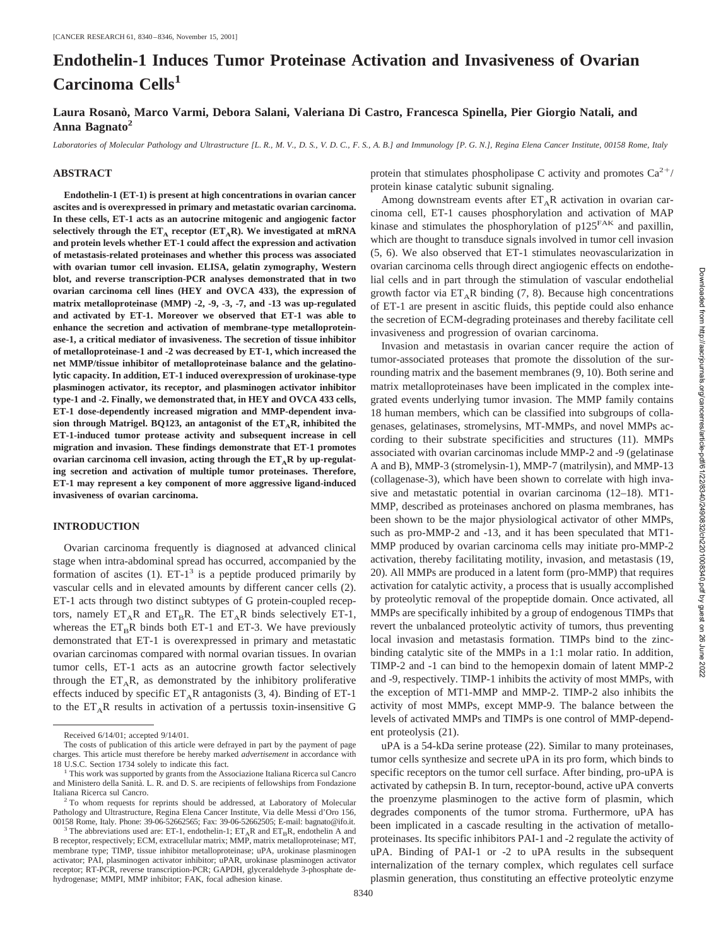# **Endothelin-1 Induces Tumor Proteinase Activation and Invasiveness of Ovarian Carcinoma Cells<sup>1</sup>**

**Laura Rosano`, Marco Varmi, Debora Salani, Valeriana Di Castro, Francesca Spinella, Pier Giorgio Natali, and Anna Bagnato2**

*Laboratories of Molecular Pathology and Ultrastructure [L. R., M. V., D. S., V. D. C., F. S., A. B.] and Immunology [P. G. N.], Regina Elena Cancer Institute, 00158 Rome, Italy*

#### **ABSTRACT**

**Endothelin-1 (ET-1) is present at high concentrations in ovarian cancer ascites and is overexpressed in primary and metastatic ovarian carcinoma. In these cells, ET-1 acts as an autocrine mitogenic and angiogenic factor** selectively through the  $ET_A$  receptor  $(ET_AR)$ . We investigated at mRNA **and protein levels whether ET-1 could affect the expression and activation of metastasis-related proteinases and whether this process was associated with ovarian tumor cell invasion. ELISA, gelatin zymography, Western blot, and reverse transcription-PCR analyses demonstrated that in two ovarian carcinoma cell lines (HEY and OVCA 433), the expression of matrix metalloproteinase (MMP) -2, -9, -3, -7, and -13 was up-regulated and activated by ET-1. Moreover we observed that ET-1 was able to enhance the secretion and activation of membrane-type metalloproteinase-1, a critical mediator of invasiveness. The secretion of tissue inhibitor of metalloproteinase-1 and -2 was decreased by ET-1, which increased the net MMP/tissue inhibitor of metalloproteinase balance and the gelatinolytic capacity. In addition, ET-1 induced overexpression of urokinase-type plasminogen activator, its receptor, and plasminogen activator inhibitor type-1 and -2. Finally, we demonstrated that, in HEY and OVCA 433 cells, ET-1 dose-dependently increased migration and MMP-dependent inva**sion through Matrigel. BQ123, an antagonist of the  $ET_A R$ , inhibited the **ET-1-induced tumor protease activity and subsequent increase in cell migration and invasion. These findings demonstrate that ET-1 promotes** ovarian carcinoma cell invasion, acting through the  $ET_A R$  by up-regulat**ing secretion and activation of multiple tumor proteinases. Therefore, ET-1 may represent a key component of more aggressive ligand-induced invasiveness of ovarian carcinoma.**

### **INTRODUCTION**

Ovarian carcinoma frequently is diagnosed at advanced clinical stage when intra-abdominal spread has occurred, accompanied by the formation of ascites  $(1)$ . ET-1<sup>3</sup> is a peptide produced primarily by vascular cells and in elevated amounts by different cancer cells (2). ET-1 acts through two distinct subtypes of G protein-coupled receptors, namely  $ET_A R$  and  $ET_B R$ . The  $ET_A R$  binds selectively ET-1, whereas the  $ET_RR$  binds both ET-1 and ET-3. We have previously demonstrated that ET-1 is overexpressed in primary and metastatic ovarian carcinomas compared with normal ovarian tissues. In ovarian tumor cells, ET-1 acts as an autocrine growth factor selectively through the  $ET_A R$ , as demonstrated by the inhibitory proliferative effects induced by specific  $ET_A R$  antagonists (3, 4). Binding of ET-1 to the  $ET_A R$  results in activation of a pertussis toxin-insensitive G

protein that stimulates phospholipase C activity and promotes  $Ca^{2+}/$ protein kinase catalytic subunit signaling.

Among downstream events after  $ET_A R$  activation in ovarian carcinoma cell, ET-1 causes phosphorylation and activation of MAP kinase and stimulates the phosphorylation of  $p125^{FAK}$  and paxillin, which are thought to transduce signals involved in tumor cell invasion (5, 6). We also observed that ET-1 stimulates neovascularization in ovarian carcinoma cells through direct angiogenic effects on endothelial cells and in part through the stimulation of vascular endothelial growth factor via  $ET_A R$  binding (7, 8). Because high concentrations of ET-1 are present in ascitic fluids, this peptide could also enhance the secretion of ECM-degrading proteinases and thereby facilitate cell invasiveness and progression of ovarian carcinoma.

Invasion and metastasis in ovarian cancer require the action of tumor-associated proteases that promote the dissolution of the surrounding matrix and the basement membranes (9, 10). Both serine and matrix metalloproteinases have been implicated in the complex integrated events underlying tumor invasion. The MMP family contains 18 human members, which can be classified into subgroups of collagenases, gelatinases, stromelysins, MT-MMPs, and novel MMPs according to their substrate specificities and structures (11). MMPs associated with ovarian carcinomas include MMP-2 and -9 (gelatinase A and B), MMP-3 (stromelysin-1), MMP-7 (matrilysin), and MMP-13 (collagenase-3), which have been shown to correlate with high invasive and metastatic potential in ovarian carcinoma (12–18). MT1- MMP, described as proteinases anchored on plasma membranes, has been shown to be the major physiological activator of other MMPs, such as pro-MMP-2 and -13, and it has been speculated that MT1- MMP produced by ovarian carcinoma cells may initiate pro-MMP-2 activation, thereby facilitating motility, invasion, and metastasis (19, 20). All MMPs are produced in a latent form (pro-MMP) that requires activation for catalytic activity, a process that is usually accomplished by proteolytic removal of the propeptide domain. Once activated, all MMPs are specifically inhibited by a group of endogenous TIMPs that revert the unbalanced proteolytic activity of tumors, thus preventing local invasion and metastasis formation. TIMPs bind to the zincbinding catalytic site of the MMPs in a 1:1 molar ratio. In addition, TIMP-2 and -1 can bind to the hemopexin domain of latent MMP-2 and -9, respectively. TIMP-1 inhibits the activity of most MMPs, with the exception of MT1-MMP and MMP-2. TIMP-2 also inhibits the activity of most MMPs, except MMP-9. The balance between the levels of activated MMPs and TIMPs is one control of MMP-dependent proteolysis (21).

uPA is a 54-kDa serine protease (22). Similar to many proteinases, tumor cells synthesize and secrete uPA in its pro form, which binds to specific receptors on the tumor cell surface. After binding, pro-uPA is activated by cathepsin B. In turn, receptor-bound, active uPA converts the proenzyme plasminogen to the active form of plasmin, which degrades components of the tumor stroma. Furthermore, uPA has been implicated in a cascade resulting in the activation of metalloproteinases. Its specific inhibitors PAI-1 and -2 regulate the activity of uPA. Binding of PAI-1 or -2 to uPA results in the subsequent internalization of the ternary complex, which regulates cell surface plasmin generation, thus constituting an effective proteolytic enzyme

Received 6/14/01; accepted 9/14/01.

The costs of publication of this article were defrayed in part by the payment of page charges. This article must therefore be hereby marked *advertisement* in accordance with

<sup>18</sup> U.S.C. Section 1734 solely to indicate this fact. <sup>1</sup> This work was supported by grants from the Associazione Italiana Ricerca sul Cancro and Ministero della Sanità. L. R. and D. S. are recipients of fellowships from Fondazione Italiana Ricerca sul Cancro. <sup>2</sup> To whom requests for reprints should be addressed, at Laboratory of Molecular

Pathology and Ultrastructure, Regina Elena Cancer Institute, Via delle Messi d'Oro 156, 00158 Rome, Italy. Phone: 39-06-52662565; Fax: 39-06-52662505; E-mail: bagnato@ifo.it. <sup>3</sup> The abbreviations used are: ET-1, endothelin-1; ET<sub>A</sub>R and ET<sub>B</sub>R, endothelin A and

B receptor, respectively; ECM, extracellular matrix; MMP, matrix metalloproteinase; MT, membrane type; TIMP, tissue inhibitor metalloproteinase; uPA, urokinase plasminogen activator; PAI, plasminogen activator inhibitor; uPAR, urokinase plasminogen activator receptor; RT-PCR, reverse transcription-PCR; GAPDH, glyceraldehyde 3-phosphate dehydrogenase; MMPI, MMP inhibitor; FAK, focal adhesion kinase.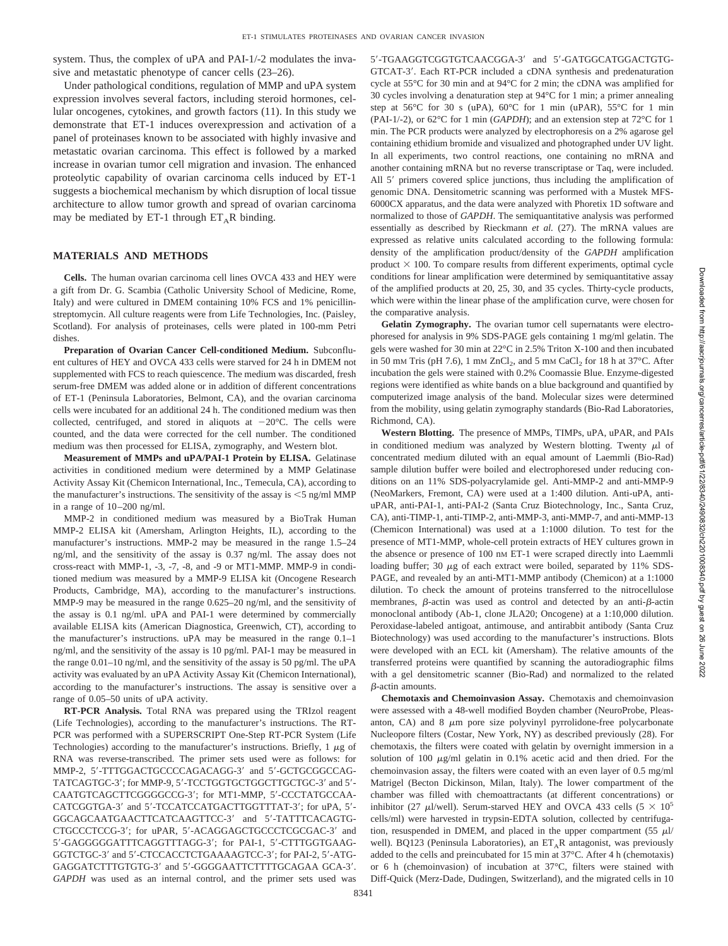system. Thus, the complex of uPA and PAI-1/-2 modulates the invasive and metastatic phenotype of cancer cells (23–26).

Under pathological conditions, regulation of MMP and uPA system expression involves several factors, including steroid hormones, cellular oncogenes, cytokines, and growth factors (11). In this study we demonstrate that ET-1 induces overexpression and activation of a panel of proteinases known to be associated with highly invasive and metastatic ovarian carcinoma. This effect is followed by a marked increase in ovarian tumor cell migration and invasion. The enhanced proteolytic capability of ovarian carcinoma cells induced by ET-1 suggests a biochemical mechanism by which disruption of local tissue architecture to allow tumor growth and spread of ovarian carcinoma may be mediated by ET-1 through  $ET_AR$  binding.

# **MATERIALS AND METHODS**

**Cells.** The human ovarian carcinoma cell lines OVCA 433 and HEY were a gift from Dr. G. Scambia (Catholic University School of Medicine, Rome, Italy) and were cultured in DMEM containing 10% FCS and 1% penicillinstreptomycin. All culture reagents were from Life Technologies, Inc. (Paisley, Scotland). For analysis of proteinases, cells were plated in 100-mm Petri dishes.

**Preparation of Ovarian Cancer Cell-conditioned Medium.** Subconfluent cultures of HEY and OVCA 433 cells were starved for 24 h in DMEM not supplemented with FCS to reach quiescence. The medium was discarded, fresh serum-free DMEM was added alone or in addition of different concentrations of ET-1 (Peninsula Laboratories, Belmont, CA), and the ovarian carcinoma cells were incubated for an additional 24 h. The conditioned medium was then collected, centrifuged, and stored in aliquots at  $-20^{\circ}$ C. The cells were counted, and the data were corrected for the cell number. The conditioned medium was then processed for ELISA, zymography, and Western blot.

**Measurement of MMPs and uPA/PAI-1 Protein by ELISA.** Gelatinase activities in conditioned medium were determined by a MMP Gelatinase Activity Assay Kit (Chemicon International, Inc., Temecula, CA), according to the manufacturer's instructions. The sensitivity of the assay is  $\leq$  5 ng/ml MMP in a range of 10–200 ng/ml.

MMP-2 in conditioned medium was measured by a BioTrak Human MMP-2 ELISA kit (Amersham, Arlington Heights, IL), according to the manufacturer's instructions. MMP-2 may be measured in the range 1.5–24 ng/ml, and the sensitivity of the assay is 0.37 ng/ml. The assay does not cross-react with MMP-1, -3, -7, -8, and -9 or MT1-MMP. MMP-9 in conditioned medium was measured by a MMP-9 ELISA kit (Oncogene Research Products, Cambridge, MA), according to the manufacturer's instructions. MMP-9 may be measured in the range 0.625–20 ng/ml, and the sensitivity of the assay is 0.1 ng/ml. uPA and PAI-1 were determined by commercially available ELISA kits (American Diagnostica, Greenwich, CT), according to the manufacturer's instructions. uPA may be measured in the range 0.1–1 ng/ml, and the sensitivity of the assay is 10 pg/ml. PAI-1 may be measured in the range 0.01–10 ng/ml, and the sensitivity of the assay is 50 pg/ml. The uPA activity was evaluated by an uPA Activity Assay Kit (Chemicon International), according to the manufacturer's instructions. The assay is sensitive over a range of 0.05–50 units of uPA activity.

**RT-PCR Analysis.** Total RNA was prepared using the TRIzol reagent (Life Technologies), according to the manufacturer's instructions. The RT-PCR was performed with a SUPERSCRIPT One-Step RT-PCR System (Life Technologies) according to the manufacturer's instructions. Briefly,  $1 \mu$ g of RNA was reverse-transcribed. The primer sets used were as follows: for MMP-2, 5'-TTTGGACTGCCCCAGACAGG-3' and 5'-GCTGCGGCCAG-TATCAGTGC-3'; for MMP-9, 5'-TCCTGGTGCTGGCTTGCTGC-3' and 5'-CAATGTCAGCTTCGGGGCCG-3'; for MT1-MMP, 5'-CCCTATGCCAA-CATCGGTGA-3' and 5'-TCCATCCATGACTTGGTTTAT-3'; for uPA, 5'-GGCAGCAATGAACTTCATCAAGTTCC-3' and 5'-TATTTCACAGTG-CTGCCCTCCG-3'; for uPAR, 5'-ACAGGAGCTGCCCTCGCGAC-3' and 5-GAGGGGGATTTCAGGTTTAGG-3; for PAI-1, 5-CTTTGGTGAAG-GGTCTGC-3' and 5'-CTCCACCTCTGAAAAGTCC-3'; for PAI-2, 5'-ATG-GAGGATCTTTGTGTG-3' and 5'-GGGGAATTCTTTTGCAGAA GCA-3'. *GAPDH* was used as an internal control, and the primer sets used was

5'-TGAAGGTCGGTGTCAACGGA-3' and 5'-GATGGCATGGACTGTG-GTCAT-3. Each RT-PCR included a cDNA synthesis and predenaturation cycle at 55°C for 30 min and at 94°C for 2 min; the cDNA was amplified for 30 cycles involving a denaturation step at 94°C for 1 min; a primer annealing step at 56°C for 30 s (uPA), 60°C for 1 min (uPAR), 55°C for 1 min (PAI-1/-2), or 62°C for 1 min (*GAPDH*); and an extension step at 72°C for 1 min. The PCR products were analyzed by electrophoresis on a 2% agarose gel containing ethidium bromide and visualized and photographed under UV light. In all experiments, two control reactions, one containing no mRNA and another containing mRNA but no reverse transcriptase or Taq, were included. All 5' primers covered splice junctions, thus including the amplification of genomic DNA. Densitometric scanning was performed with a Mustek MFS-6000CX apparatus, and the data were analyzed with Phoretix 1D software and normalized to those of *GAPDH*. The semiquantitative analysis was performed essentially as described by Rieckmann *et al.* (27). The mRNA values are expressed as relative units calculated according to the following formula: density of the amplification product/density of the *GAPDH* amplification product  $\times$  100. To compare results from different experiments, optimal cycle conditions for linear amplification were determined by semiquantitative assay of the amplified products at 20, 25, 30, and 35 cycles. Thirty-cycle products, which were within the linear phase of the amplification curve, were chosen for the comparative analysis.

**Gelatin Zymography.** The ovarian tumor cell supernatants were electrophoresed for analysis in 9% SDS-PAGE gels containing 1 mg/ml gelatin. The gels were washed for 30 min at 22°C in 2.5% Triton X-100 and then incubated in 50 mm Tris (pH 7.6), 1 mm  $ZnCl<sub>2</sub>$ , and 5 mm  $CaCl<sub>2</sub>$  for 18 h at 37°C. After incubation the gels were stained with 0.2% Coomassie Blue. Enzyme-digested regions were identified as white bands on a blue background and quantified by computerized image analysis of the band. Molecular sizes were determined from the mobility, using gelatin zymography standards (Bio-Rad Laboratories, Richmond, CA).

**Western Blotting.** The presence of MMPs, TIMPs, uPA, uPAR, and PAIs in conditioned medium was analyzed by Western blotting. Twenty  $\mu$ l of concentrated medium diluted with an equal amount of Laemmli (Bio-Rad) sample dilution buffer were boiled and electrophoresed under reducing conditions on an 11% SDS-polyacrylamide gel. Anti-MMP-2 and anti-MMP-9 (NeoMarkers, Fremont, CA) were used at a 1:400 dilution. Anti-uPA, antiuPAR, anti-PAI-1, anti-PAI-2 (Santa Cruz Biotechnology, Inc., Santa Cruz, CA), anti-TIMP-1, anti-TIMP-2, anti-MMP-3, anti-MMP-7, and anti-MMP-13 (Chemicon International) was used at a 1:1000 dilution. To test for the presence of MT1-MMP, whole-cell protein extracts of HEY cultures grown in the absence or presence of 100 nM ET-1 were scraped directly into Laemmli loading buffer; 30  $\mu$ g of each extract were boiled, separated by 11% SDS-PAGE, and revealed by an anti-MT1-MMP antibody (Chemicon) at a 1:1000 dilution. To check the amount of proteins transferred to the nitrocellulose membranes,  $\beta$ -actin was used as control and detected by an anti- $\beta$ -actin monoclonal antibody (Ab-1, clone JLA20; Oncogene) at a 1:10,000 dilution. Peroxidase-labeled antigoat, antimouse, and antirabbit antibody (Santa Cruz Biotechnology) was used according to the manufacturer's instructions. Blots were developed with an ECL kit (Amersham). The relative amounts of the transferred proteins were quantified by scanning the autoradiographic films with a gel densitometric scanner (Bio-Rad) and normalized to the related --actin amounts.

**Chemotaxis and Chemoinvasion Assay.** Chemotaxis and chemoinvasion were assessed with a 48-well modified Boyden chamber (NeuroProbe, Pleasanton, CA) and  $8 \mu m$  pore size polyvinyl pyrrolidone-free polycarbonate Nucleopore filters (Costar, New York, NY) as described previously (28). For chemotaxis, the filters were coated with gelatin by overnight immersion in a solution of 100  $\mu$ g/ml gelatin in 0.1% acetic acid and then dried. For the chemoinvasion assay, the filters were coated with an even layer of 0.5 mg/ml Matrigel (Becton Dickinson, Milan, Italy). The lower compartment of the chamber was filled with chemoattractants (at different concentrations) or inhibitor (27  $\mu$ l/well). Serum-starved HEY and OVCA 433 cells (5  $\times$  10<sup>5</sup> cells/ml) were harvested in trypsin-EDTA solution, collected by centrifugation, resuspended in DMEM, and placed in the upper compartment (55  $\mu$ l/ well). BQ123 (Peninsula Laboratories), an  $ET_AR$  antagonist, was previously added to the cells and preincubated for 15 min at 37°C. After 4 h (chemotaxis) or 6 h (chemoinvasion) of incubation at 37°C, filters were stained with Diff-Quick (Merz-Dade, Dudingen, Switzerland), and the migrated cells in 10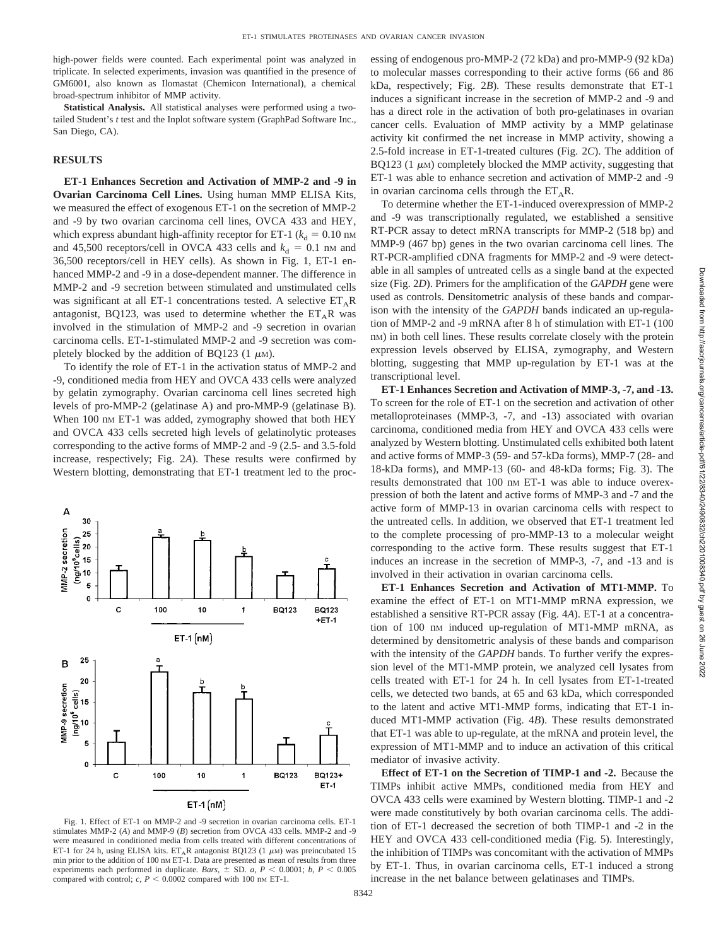high-power fields were counted. Each experimental point was analyzed in triplicate. In selected experiments, invasion was quantified in the presence of GM6001, also known as Ilomastat (Chemicon International), a chemical broad-spectrum inhibitor of MMP activity.

**Statistical Analysis.** All statistical analyses were performed using a twotailed Student's *t* test and the Inplot software system (GraphPad Software Inc., San Diego, CA).

#### **RESULTS**

**ET-1 Enhances Secretion and Activation of MMP-2 and -9 in Ovarian Carcinoma Cell Lines.** Using human MMP ELISA Kits, we measured the effect of exogenous ET-1 on the secretion of MMP-2 and -9 by two ovarian carcinoma cell lines, OVCA 433 and HEY, which express abundant high-affinity receptor for ET-1 ( $k_d = 0.10$  nm and 45,500 receptors/cell in OVCA 433 cells and  $k_d = 0.1$  nm and 36,500 receptors/cell in HEY cells). As shown in Fig. 1, ET-1 enhanced MMP-2 and -9 in a dose-dependent manner. The difference in MMP-2 and -9 secretion between stimulated and unstimulated cells was significant at all ET-1 concentrations tested. A selective  $ET_A R$ antagonist, BQ123, was used to determine whether the  $ET_AR$  was involved in the stimulation of MMP-2 and -9 secretion in ovarian carcinoma cells. ET-1-stimulated MMP-2 and -9 secretion was completely blocked by the addition of BQ123 (1  $\mu$ M).

To identify the role of ET-1 in the activation status of MMP-2 and -9, conditioned media from HEY and OVCA 433 cells were analyzed by gelatin zymography. Ovarian carcinoma cell lines secreted high levels of pro-MMP-2 (gelatinase A) and pro-MMP-9 (gelatinase B). When 100 nm ET-1 was added, zymography showed that both HEY and OVCA 433 cells secreted high levels of gelatinolytic proteases corresponding to the active forms of MMP-2 and -9 (2.5- and 3.5-fold increase, respectively; Fig. 2*A*). These results were confirmed by Western blotting, demonstrating that ET-1 treatment led to the proc-



Fig. 1. Effect of ET-1 on MMP-2 and -9 secretion in ovarian carcinoma cells. ET-1 stimulates MMP-2 (*A*) and MMP-9 (*B*) secretion from OVCA 433 cells. MMP-2 and -9 were measured in conditioned media from cells treated with different concentrations of ET-1 for 24 h, using ELISA kits. ET<sub>A</sub>R antagonist BQ123 (1  $\mu$ M) was preincubated 15 min prior to the addition of 100 nm ET-1. Data are presented as mean of results from three experiments each performed in duplicate. *Bars*,  $\pm$  SD. *a*,  $P < 0.0001$ ; *b*,  $P < 0.005$ compared with control;  $c, P \leq 0.0002$  compared with 100 nm ET-1.

essing of endogenous pro-MMP-2 (72 kDa) and pro-MMP-9 (92 kDa) to molecular masses corresponding to their active forms (66 and 86 kDa, respectively; Fig. 2*B*). These results demonstrate that ET-1 induces a significant increase in the secretion of MMP-2 and -9 and has a direct role in the activation of both pro-gelatinases in ovarian cancer cells. Evaluation of MMP activity by a MMP gelatinase activity kit confirmed the net increase in MMP activity, showing a 2.5-fold increase in ET-1-treated cultures (Fig. 2*C*). The addition of BQ123 (1  $\mu$ M) completely blocked the MMP activity, suggesting that ET-1 was able to enhance secretion and activation of MMP-2 and -9 in ovarian carcinoma cells through the  $ET_A R$ .

To determine whether the ET-1-induced overexpression of MMP-2 and -9 was transcriptionally regulated, we established a sensitive RT-PCR assay to detect mRNA transcripts for MMP-2 (518 bp) and MMP-9 (467 bp) genes in the two ovarian carcinoma cell lines. The RT-PCR-amplified cDNA fragments for MMP-2 and -9 were detectable in all samples of untreated cells as a single band at the expected size (Fig. 2*D*). Primers for the amplification of the *GAPDH* gene were used as controls. Densitometric analysis of these bands and comparison with the intensity of the *GAPDH* bands indicated an up-regulation of MMP-2 and -9 mRNA after 8 h of stimulation with ET-1 (100 nM) in both cell lines. These results correlate closely with the protein expression levels observed by ELISA, zymography, and Western blotting, suggesting that MMP up-regulation by ET-1 was at the transcriptional level.

**ET-1 Enhances Secretion and Activation of MMP-3, -7, and -13.** To screen for the role of ET-1 on the secretion and activation of other metalloproteinases (MMP-3, -7, and -13) associated with ovarian carcinoma, conditioned media from HEY and OVCA 433 cells were analyzed by Western blotting. Unstimulated cells exhibited both latent and active forms of MMP-3 (59- and 57-kDa forms), MMP-7 (28- and 18-kDa forms), and MMP-13 (60- and 48-kDa forms; Fig. 3). The results demonstrated that 100 nm ET-1 was able to induce overexpression of both the latent and active forms of MMP-3 and -7 and the active form of MMP-13 in ovarian carcinoma cells with respect to the untreated cells. In addition, we observed that ET-1 treatment led to the complete processing of pro-MMP-13 to a molecular weight corresponding to the active form. These results suggest that ET-1 induces an increase in the secretion of MMP-3, -7, and -13 and is involved in their activation in ovarian carcinoma cells.

**ET-1 Enhances Secretion and Activation of MT1-MMP.** To examine the effect of ET-1 on MT1-MMP mRNA expression, we established a sensitive RT-PCR assay (Fig. 4*A*). ET-1 at a concentration of 100 nM induced up-regulation of MT1-MMP mRNA, as determined by densitometric analysis of these bands and comparison with the intensity of the *GAPDH* bands. To further verify the expression level of the MT1-MMP protein, we analyzed cell lysates from cells treated with ET-1 for 24 h. In cell lysates from ET-1-treated cells, we detected two bands, at 65 and 63 kDa, which corresponded to the latent and active MT1-MMP forms, indicating that ET-1 induced MT1-MMP activation (Fig. 4*B*). These results demonstrated that ET-1 was able to up-regulate, at the mRNA and protein level, the expression of MT1-MMP and to induce an activation of this critical mediator of invasive activity.

**Effect of ET-1 on the Secretion of TIMP-1 and -2.** Because the TIMPs inhibit active MMPs, conditioned media from HEY and OVCA 433 cells were examined by Western blotting. TIMP-1 and -2 were made constitutively by both ovarian carcinoma cells. The addition of ET-1 decreased the secretion of both TIMP-1 and -2 in the HEY and OVCA 433 cell-conditioned media (Fig. 5). Interestingly, the inhibition of TIMPs was concomitant with the activation of MMPs by ET-1. Thus, in ovarian carcinoma cells, ET-1 induced a strong increase in the net balance between gelatinases and TIMPs.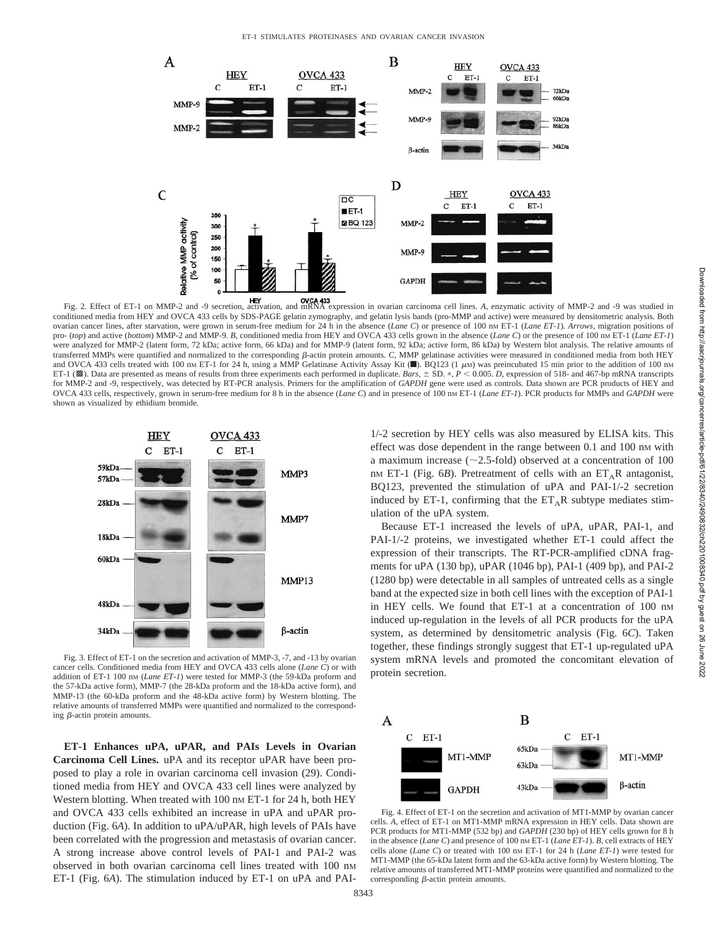

Fig. 2. Effect of ET-1 on MMP-2 and -9 secretion, activation, and mRNA expression in ovarian carcinoma cell lines. *A*, enzymatic activity of MMP-2 and -9 was studied in conditioned media from HEY and OVCA 433 cells by SDS-PAGE gelatin zymography, and gelatin lysis bands (pro-MMP and active) were measured by densitometric analysis. Both ovarian cancer lines, after starvation, were grown in serum-free medium for 24 h in the absence (*Lane C*) or presence of 100 nM ET-1 (*Lane ET-1*). *Arrows*, migration positions of pro- (*top*) and active (*bottom*) MMP-2 and MMP-9. *B*, conditioned media from HEY and OVCA 433 cells grown in the absence (*Lane C*) or the presence of 100 nM ET-1 (*Lane ET-1*) were analyzed for MMP-2 (latent form, 72 kDa; active form, 66 kDa) and for MMP-9 (latent form, 92 kDa; active form, 86 kDa) by Western blot analysis. The relative amounts of transferred MMPs were quantified and normalized to the corresponding β-actin protein amounts. *C*, MMP gelatinase activities were measured in conditioned media from both HEY and OVCA 433 cells treated with 100 nm ET-1 for 24 h, using a MMP Gelatinase Activity Assay Kit (D). BQ123 (1  $\mu$ M) was preincubated 15 min prior to the addition of 100 nm ET-1 ( $\mathbb{Z}$ ). Data are presented as means of results from three experiments each performed in duplicate. *Bars*,  $\pm$  SD. \*,  $P < 0.005$ . *D*, expression of 518- and 467-bp mRNA transcripts for MMP-2 and -9, respectively, was detected by RT-PCR analysis. Primers for the amplification of *GAPDH* gene were used as controls. Data shown are PCR products of HEY and OVCA 433 cells, respectively, grown in serum-free medium for 8 h in the absence (*Lane C*) and in presence of 100 nm ET-1 (*Lane ET-1*). PCR products for MMPs and *GAPDH* were shown as visualized by ethidium bromide.



Fig. 3. Effect of ET-1 on the secretion and activation of MMP-3, -7, and -13 by ovarian cancer cells. Conditioned media from HEY and OVCA 433 cells alone (*Lane C*) or with addition of ET-1 100 nM (*Lane ET-1*) were tested for MMP-3 (the 59-kDa proform and the 57-kDa active form), MMP-7 (the 28-kDa proform and the 18-kDa active form), and MMP-13 (the 60-kDa proform and the 48-kDa active form) by Western blotting. The relative amounts of transferred MMPs were quantified and normalized to the corresponding  $\beta$ -actin protein amounts.

**ET-1 Enhances uPA, uPAR, and PAIs Levels in Ovarian Carcinoma Cell Lines.** uPA and its receptor uPAR have been proposed to play a role in ovarian carcinoma cell invasion (29). Conditioned media from HEY and OVCA 433 cell lines were analyzed by Western blotting. When treated with 100 nm ET-1 for 24 h, both HEY and OVCA 433 cells exhibited an increase in uPA and uPAR production (Fig. 6*A*). In addition to uPA/uPAR, high levels of PAIs have been correlated with the progression and metastasis of ovarian cancer. A strong increase above control levels of PAI-1 and PAI-2 was observed in both ovarian carcinoma cell lines treated with 100 nM ET-1 (Fig. 6*A*). The stimulation induced by ET-1 on uPA and PAI- 1/-2 secretion by HEY cells was also measured by ELISA kits. This effect was dose dependent in the range between 0.1 and 100 nm with a maximum increase ( $\sim$ 2.5-fold) observed at a concentration of 100 nM ET-1 (Fig.  $6B$ ). Pretreatment of cells with an ET<sub>A</sub>R antagonist, BQ123, prevented the stimulation of uPA and PAI-1/-2 secretion induced by ET-1, confirming that the  $ET_A R$  subtype mediates stimulation of the uPA system.

Because ET-1 increased the levels of uPA, uPAR, PAI-1, and PAI-1/-2 proteins, we investigated whether ET-1 could affect the expression of their transcripts. The RT-PCR-amplified cDNA fragments for uPA (130 bp), uPAR (1046 bp), PAI-1 (409 bp), and PAI-2 (1280 bp) were detectable in all samples of untreated cells as a single band at the expected size in both cell lines with the exception of PAI-1 in HEY cells. We found that ET-1 at a concentration of 100 nm induced up-regulation in the levels of all PCR products for the uPA system, as determined by densitometric analysis (Fig. 6*C*). Taken together, these findings strongly suggest that ET-1 up-regulated uPA system mRNA levels and promoted the concomitant elevation of protein secretion.



Fig. 4. Effect of ET-1 on the secretion and activation of MT1-MMP by ovarian cancer cells. *A*, effect of ET-1 on MT1-MMP mRNA expression in HEY cells. Data shown are PCR products for MT1-MMP (532 bp) and *GAPDH* (230 bp) of HEY cells grown for 8 h in the absence (*Lane C*) and presence of 100 nm ET-1 (*Lane ET-1*). *B*, cell extracts of HEY cells alone (*Lane C*) or treated with 100 nm ET-1 for 24 h (*Lane ET-1*) were tested for MT1-MMP (the 65-kDa latent form and the 63-kDa active form) by Western blotting. The relative amounts of transferred MT1-MMP proteins were quantified and normalized to the corresponding  $\beta$ -actin protein amounts.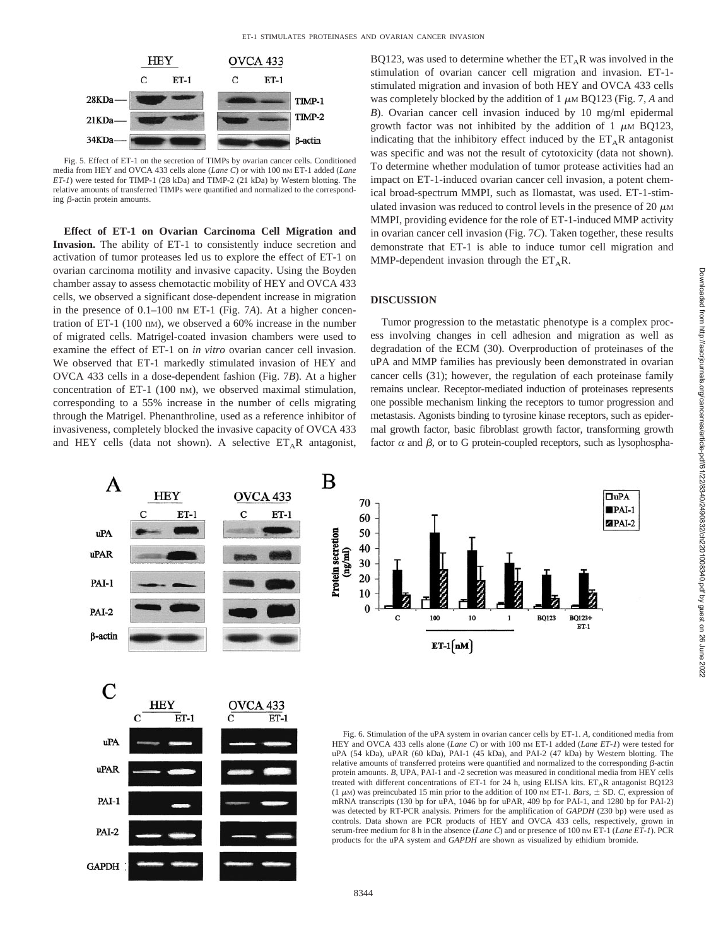

Fig. 5. Effect of ET-1 on the secretion of TIMPs by ovarian cancer cells. Conditioned media from HEY and OVCA 433 cells alone (*Lane C*) or with 100 nm ET-1 added (*Lane ET-1*) were tested for TIMP-1 (28 kDa) and TIMP-2 (21 kDa) by Western blotting. The relative amounts of transferred TIMPs were quantified and normalized to the corresponding  $\beta$ -actin protein amounts.

**Effect of ET-1 on Ovarian Carcinoma Cell Migration and Invasion.** The ability of ET-1 to consistently induce secretion and activation of tumor proteases led us to explore the effect of ET-1 on ovarian carcinoma motility and invasive capacity. Using the Boyden chamber assay to assess chemotactic mobility of HEY and OVCA 433 cells, we observed a significant dose-dependent increase in migration in the presence of 0.1–100 nm ET-1 (Fig. 7A). At a higher concentration of ET-1 (100 nM), we observed a 60% increase in the number of migrated cells. Matrigel-coated invasion chambers were used to examine the effect of ET-1 on *in vitro* ovarian cancer cell invasion. We observed that ET-1 markedly stimulated invasion of HEY and OVCA 433 cells in a dose-dependent fashion (Fig. 7*B*). At a higher concentration of ET-1 (100 nm), we observed maximal stimulation, corresponding to a 55% increase in the number of cells migrating through the Matrigel. Phenanthroline, used as a reference inhibitor of invasiveness, completely blocked the invasive capacity of OVCA 433 and HEY cells (data not shown). A selective  $ET_A R$  antagonist,

**GAPDH** 

BQ123, was used to determine whether the  $ET<sub>A</sub>R$  was involved in the stimulation of ovarian cancer cell migration and invasion. ET-1 stimulated migration and invasion of both HEY and OVCA 433 cells was completely blocked by the addition of  $1 \mu M BQ123$  (Fig. 7, A and *B*). Ovarian cancer cell invasion induced by 10 mg/ml epidermal growth factor was not inhibited by the addition of 1  $\mu$ M BO123, indicating that the inhibitory effect induced by the  $ET_A R$  antagonist was specific and was not the result of cytotoxicity (data not shown). To determine whether modulation of tumor protease activities had an impact on ET-1-induced ovarian cancer cell invasion, a potent chemical broad-spectrum MMPI, such as Ilomastat, was used. ET-1-stimulated invasion was reduced to control levels in the presence of 20  $\mu$ M MMPI, providing evidence for the role of ET-1-induced MMP activity in ovarian cancer cell invasion (Fig. 7*C*). Taken together, these results demonstrate that ET-1 is able to induce tumor cell migration and MMP-dependent invasion through the  $ET_A R$ .

# **DISCUSSION**

Tumor progression to the metastatic phenotype is a complex process involving changes in cell adhesion and migration as well as degradation of the ECM (30). Overproduction of proteinases of the uPA and MMP families has previously been demonstrated in ovarian cancer cells (31); however, the regulation of each proteinase family remains unclear. Receptor-mediated induction of proteinases represents one possible mechanism linking the receptors to tumor progression and metastasis. Agonists binding to tyrosine kinase receptors, such as epidermal growth factor, basic fibroblast growth factor, transforming growth factor  $\alpha$  and  $\beta$ , or to G protein-coupled receptors, such as lysophospha-



8344

 $\square$ uPA

 $$ 

 $2$ PAI-2

**BQ123+**  $ET-1$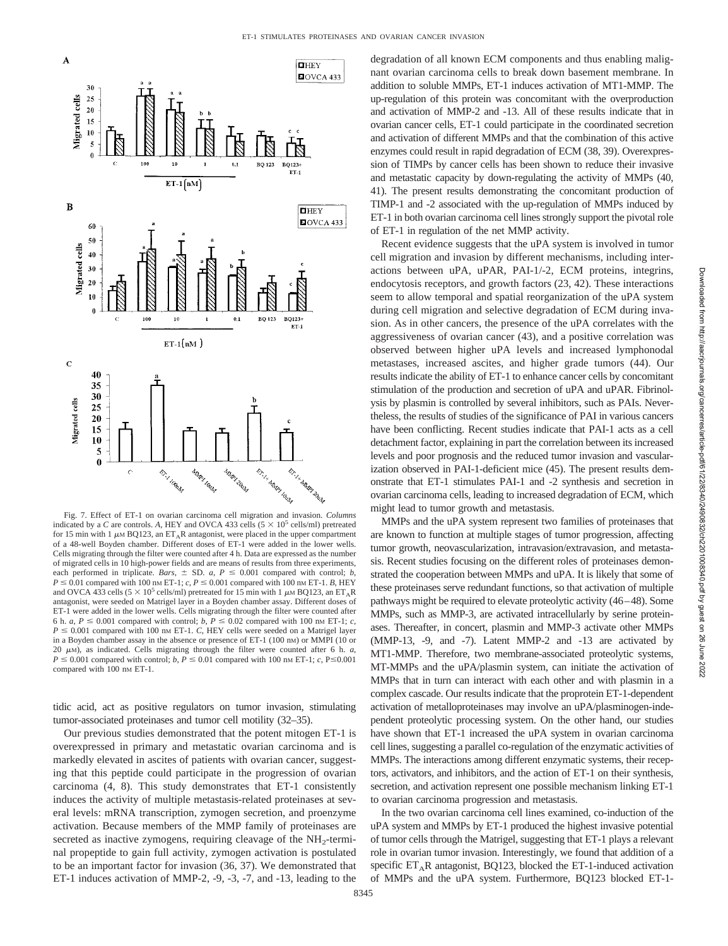

Fig. 7. Effect of ET-1 on ovarian carcinoma cell migration and invasion. *Columns* indicated by a *C* are controls. A, HEY and OVCA 433 cells  $(5 \times 10^5 \text{ cells/ml})$  pretreated for 15 min with 1  $\mu$ M BQ123, an ET<sub>A</sub>R antagonist, were placed in the upper compartment of a 48-well Boyden chamber. Different doses of ET-1 were added in the lower wells. Cells migrating through the filter were counted after 4 h. Data are expressed as the number of migrated cells in 10 high-power fields and are means of results from three experiments, each performed in triplicate. *Bars*,  $\pm$  SD. *a*,  $P \le 0.001$  compared with control; *b*,  $P \le 0.01$  compared with 100 nm ET-1; *c*,  $P \le 0.001$  compared with 100 nm ET-1. *B*, HEY and OVCA 433 cells (5  $\times$  10<sup>5</sup> cells/ml) pretreated for 15 min with 1  $\mu$ M BQ123, an ET<sub>A</sub>R antagonist, were seeded on Matrigel layer in a Boyden chamber assay. Different doses of ET-1 were added in the lower wells. Cells migrating through the filter were counted after 6 h. *a*,  $P \le 0.001$  compared with control; *b*,  $P \le 0.02$  compared with 100 nm ET-1; *c*,  $P \leq 0.001$  compared with 100 nm ET-1. *C*, HEY cells were seeded on a Matrigel layer in a Boyden chamber assay in the absence or presence of ET-1 (100 nM) or MMPI (10 or 20  $\mu$ M), as indicated. Cells migrating through the filter were counted after 6 h. *a*,  $P \le 0.001$  compared with control;  $b, P \le 0.01$  compared with 100 nm ET-1; *c*, P $\le 0.001$ compared with 100 nm ET-1.

tidic acid, act as positive regulators on tumor invasion, stimulating tumor-associated proteinases and tumor cell motility (32–35).

Our previous studies demonstrated that the potent mitogen ET-1 is overexpressed in primary and metastatic ovarian carcinoma and is markedly elevated in ascites of patients with ovarian cancer, suggesting that this peptide could participate in the progression of ovarian carcinoma (4, 8). This study demonstrates that ET-1 consistently induces the activity of multiple metastasis-related proteinases at several levels: mRNA transcription, zymogen secretion, and proenzyme activation. Because members of the MMP family of proteinases are secreted as inactive zymogens, requiring cleavage of the  $NH<sub>2</sub>$ -terminal propeptide to gain full activity, zymogen activation is postulated to be an important factor for invasion (36, 37). We demonstrated that ET-1 induces activation of MMP-2, -9, -3, -7, and -13, leading to the

degradation of all known ECM components and thus enabling malignant ovarian carcinoma cells to break down basement membrane. In addition to soluble MMPs, ET-1 induces activation of MT1-MMP. The up-regulation of this protein was concomitant with the overproduction and activation of MMP-2 and -13. All of these results indicate that in ovarian cancer cells, ET-1 could participate in the coordinated secretion and activation of different MMPs and that the combination of this active enzymes could result in rapid degradation of ECM (38, 39). Overexpression of TIMPs by cancer cells has been shown to reduce their invasive and metastatic capacity by down-regulating the activity of MMPs (40, 41). The present results demonstrating the concomitant production of TIMP-1 and -2 associated with the up-regulation of MMPs induced by ET-1 in both ovarian carcinoma cell lines strongly support the pivotal role of ET-1 in regulation of the net MMP activity.

Recent evidence suggests that the uPA system is involved in tumor cell migration and invasion by different mechanisms, including interactions between uPA, uPAR, PAI-1/-2, ECM proteins, integrins, endocytosis receptors, and growth factors (23, 42). These interactions seem to allow temporal and spatial reorganization of the uPA system during cell migration and selective degradation of ECM during invasion. As in other cancers, the presence of the uPA correlates with the aggressiveness of ovarian cancer (43), and a positive correlation was observed between higher uPA levels and increased lymphonodal metastases, increased ascites, and higher grade tumors (44). Our results indicate the ability of ET-1 to enhance cancer cells by concomitant stimulation of the production and secretion of uPA and uPAR. Fibrinolysis by plasmin is controlled by several inhibitors, such as PAIs. Nevertheless, the results of studies of the significance of PAI in various cancers have been conflicting. Recent studies indicate that PAI-1 acts as a cell detachment factor, explaining in part the correlation between its increased levels and poor prognosis and the reduced tumor invasion and vascularization observed in PAI-1-deficient mice (45). The present results demonstrate that ET-1 stimulates PAI-1 and -2 synthesis and secretion in ovarian carcinoma cells, leading to increased degradation of ECM, which might lead to tumor growth and metastasis.

MMPs and the uPA system represent two families of proteinases that are known to function at multiple stages of tumor progression, affecting tumor growth, neovascularization, intravasion/extravasion, and metastasis. Recent studies focusing on the different roles of proteinases demonstrated the cooperation between MMPs and uPA. It is likely that some of these proteinases serve redundant functions, so that activation of multiple pathways might be required to elevate proteolytic activity (46–48). Some MMPs, such as MMP-3, are activated intracellularly by serine proteinases. Thereafter, in concert, plasmin and MMP-3 activate other MMPs (MMP-13, -9, and -7). Latent MMP-2 and -13 are activated by MT1-MMP. Therefore, two membrane-associated proteolytic systems, MT-MMPs and the uPA/plasmin system, can initiate the activation of MMPs that in turn can interact with each other and with plasmin in a complex cascade. Our results indicate that the proprotein ET-1-dependent activation of metalloproteinases may involve an uPA/plasminogen-independent proteolytic processing system. On the other hand, our studies have shown that ET-1 increased the uPA system in ovarian carcinoma cell lines, suggesting a parallel co-regulation of the enzymatic activities of MMPs. The interactions among different enzymatic systems, their receptors, activators, and inhibitors, and the action of ET-1 on their synthesis, secretion, and activation represent one possible mechanism linking ET-1 to ovarian carcinoma progression and metastasis.

In the two ovarian carcinoma cell lines examined, co-induction of the uPA system and MMPs by ET-1 produced the highest invasive potential of tumor cells through the Matrigel, suggesting that ET-1 plays a relevant role in ovarian tumor invasion. Interestingly, we found that addition of a specific  $ET_A R$  antagonist, BQ123, blocked the ET-1-induced activation of MMPs and the uPA system. Furthermore, BQ123 blocked ET-1